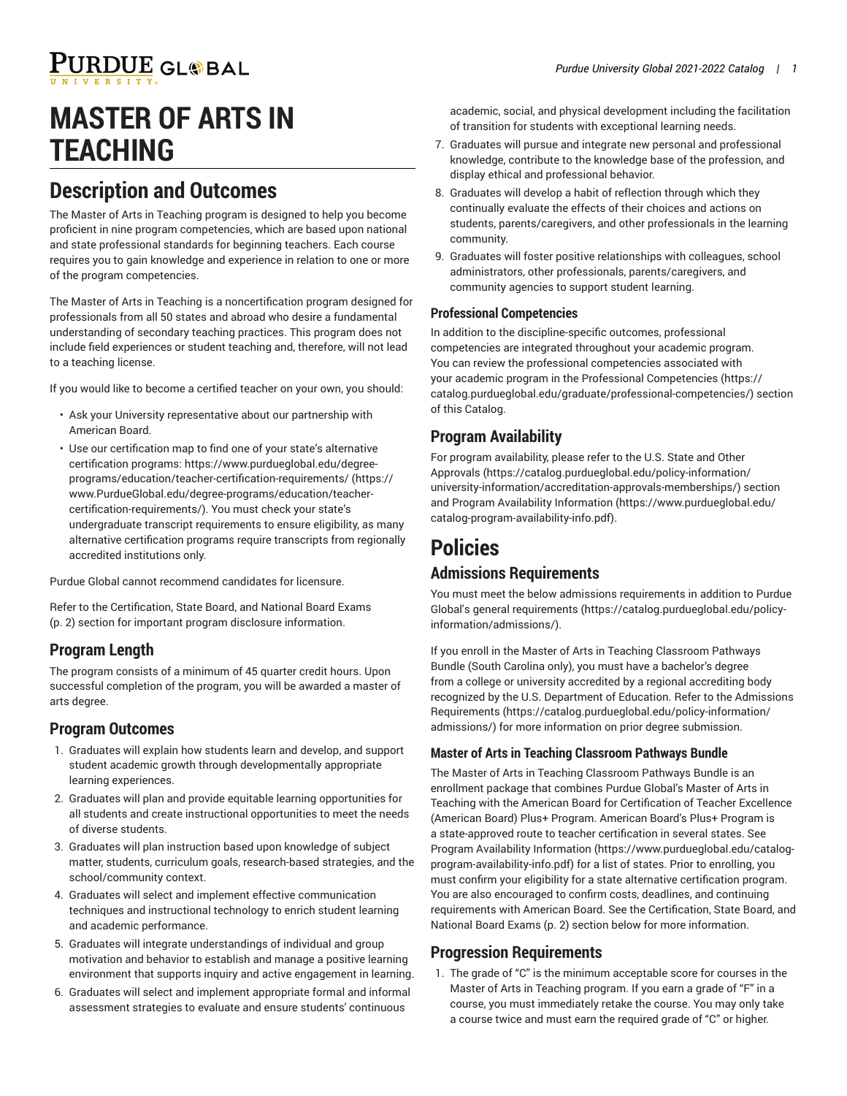# PURDUE GL®BAL

# **MASTER OF ARTS IN TEACHING**

## **Description and Outcomes**

The Master of Arts in Teaching program is designed to help you become proficient in nine program competencies, which are based upon national and state professional standards for beginning teachers. Each course requires you to gain knowledge and experience in relation to one or more of the program competencies.

The Master of Arts in Teaching is a noncertification program designed for professionals from all 50 states and abroad who desire a fundamental understanding of secondary teaching practices. This program does not include field experiences or student teaching and, therefore, will not lead to a teaching license.

If you would like to become a certified teacher on your own, you should:

- Ask your University representative about our partnership with American Board.
- Use our certification map to find one of your state's alternative certification programs: [https://www.purdueglobal.edu/degree](https://www.PurdueGlobal.edu/degree-programs/education/teacher-certification-requirements/)[programs/education/teacher-certification-requirements/](https://www.PurdueGlobal.edu/degree-programs/education/teacher-certification-requirements/) [\(https://](https://www.PurdueGlobal.edu/degree-programs/education/teacher-certification-requirements/) [www.PurdueGlobal.edu/degree-programs/education/teacher](https://www.PurdueGlobal.edu/degree-programs/education/teacher-certification-requirements/)[certification-requirements/](https://www.PurdueGlobal.edu/degree-programs/education/teacher-certification-requirements/)). You must check your state's undergraduate transcript requirements to ensure eligibility, as many alternative certification programs require transcripts from regionally accredited institutions only.

Purdue Global cannot recommend candidates for licensure.

Refer to the [Certification,](#page-1-0) State Board, and National Board Exams ([p. 2\)](#page-1-0) section for important program disclosure information.

## **Program Length**

The program consists of a minimum of 45 quarter credit hours. Upon successful completion of the program, you will be awarded a master of arts degree.

#### **Program Outcomes**

- 1. Graduates will explain how students learn and develop, and support student academic growth through developmentally appropriate learning experiences.
- 2. Graduates will plan and provide equitable learning opportunities for all students and create instructional opportunities to meet the needs of diverse students.
- 3. Graduates will plan instruction based upon knowledge of subject matter, students, curriculum goals, research-based strategies, and the school/community context.
- 4. Graduates will select and implement effective communication techniques and instructional technology to enrich student learning and academic performance.
- 5. Graduates will integrate understandings of individual and group motivation and behavior to establish and manage a positive learning environment that supports inquiry and active engagement in learning.
- 6. Graduates will select and implement appropriate formal and informal assessment strategies to evaluate and ensure students' continuous

academic, social, and physical development including the facilitation of transition for students with exceptional learning needs.

- 7. Graduates will pursue and integrate new personal and professional knowledge, contribute to the knowledge base of the profession, and display ethical and professional behavior.
- 8. Graduates will develop a habit of reflection through which they continually evaluate the effects of their choices and actions on students, parents/caregivers, and other professionals in the learning community.
- 9. Graduates will foster positive relationships with colleagues, school administrators, other professionals, parents/caregivers, and community agencies to support student learning.

#### **Professional Competencies**

In addition to the discipline-specific outcomes, professional competencies are integrated throughout your academic program. You can review the professional competencies associated with your academic program in the Professional [Competencies](https://catalog.purdueglobal.edu/graduate/professional-competencies/) ([https://](https://catalog.purdueglobal.edu/graduate/professional-competencies/) [catalog.purdueglobal.edu/graduate/professional-competencies/](https://catalog.purdueglobal.edu/graduate/professional-competencies/)) section of this Catalog.

#### **Program Availability**

For program availability, please refer to the [U.S. State and Other](https://catalog.purdueglobal.edu/policy-information/university-information/accreditation-approvals-memberships/) [Approvals](https://catalog.purdueglobal.edu/policy-information/university-information/accreditation-approvals-memberships/) ([https://catalog.purdueglobal.edu/policy-information/](https://catalog.purdueglobal.edu/policy-information/university-information/accreditation-approvals-memberships/) [university-information/accreditation-approvals-memberships/](https://catalog.purdueglobal.edu/policy-information/university-information/accreditation-approvals-memberships/)) section and Program Availability [Information](https://www.purdueglobal.edu/catalog-program-availability-info.pdf) ([https://www.purdueglobal.edu/](https://www.purdueglobal.edu/catalog-program-availability-info.pdf) [catalog-program-availability-info.pdf\)](https://www.purdueglobal.edu/catalog-program-availability-info.pdf).

## **Policies**

### **Admissions Requirements**

You must meet the below admissions requirements in addition to Purdue Global's general [requirements](https://catalog.purdueglobal.edu/policy-information/admissions/) ([https://catalog.purdueglobal.edu/policy](https://catalog.purdueglobal.edu/policy-information/admissions/)[information/admissions/](https://catalog.purdueglobal.edu/policy-information/admissions/)).

If you enroll in the Master of Arts in Teaching Classroom Pathways Bundle (South Carolina only), you must have a bachelor's degree from a college or university accredited by a regional accrediting body recognized by the U.S. Department of Education. Refer to the [Admissions](https://catalog.purdueglobal.edu/policy-information/admissions/) [Requirements \(https://catalog.purdueglobal.edu/policy-information/](https://catalog.purdueglobal.edu/policy-information/admissions/) [admissions/](https://catalog.purdueglobal.edu/policy-information/admissions/)) for more information on prior degree submission.

#### **Master of Arts in Teaching Classroom Pathways Bundle**

The Master of Arts in Teaching Classroom Pathways Bundle is an enrollment package that combines Purdue Global's Master of Arts in Teaching with the American Board for Certification of Teacher Excellence (American Board) Plus+ Program. American Board's Plus+ Program is a state-approved route to teacher certification in several states. See Program Availability [Information \(https://www.purdueglobal.edu/catalog](https://www.purdueglobal.edu/catalog-program-availability-info.pdf)[program-availability-info.pdf](https://www.purdueglobal.edu/catalog-program-availability-info.pdf)) for a list of states. Prior to enrolling, you must confirm your eligibility for a state alternative certification program. You are also encouraged to confirm costs, deadlines, and continuing requirements with American Board. See the [Certification,](#page-1-0) State Board, and [National](#page-1-0) Board Exams ([p. 2](#page-1-0)) section below for more information.

### **Progression Requirements**

1. The grade of "C" is the minimum acceptable score for courses in the Master of Arts in Teaching program. If you earn a grade of "F" in a course, you must immediately retake the course. You may only take a course twice and must earn the required grade of "C" or higher.